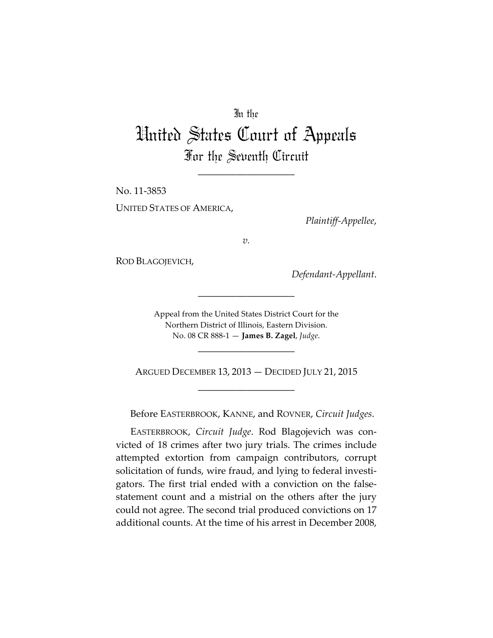## In the

## United States Court of Appeals For the Seventh Circuit

\_\_\_\_\_\_\_\_\_\_\_\_\_\_\_\_\_\_\_\_

No. 11-3853 UNITED STATES OF AMERICA,

*Plaintiff-Appellee*,

*v.*

ROD BLAGOJEVICH,

*Defendant-Appellant*.

Appeal from the United States District Court for the Northern District of Illinois, Eastern Division. No. 08 CR 888-1 — **James B. Zagel**, *Judge*.

\_\_\_\_\_\_\_\_\_\_\_\_\_\_\_\_\_\_\_\_

\_\_\_\_\_\_\_\_\_\_\_\_\_\_\_\_\_\_\_\_

ARGUED DECEMBER 13, 2013 — DECIDED JULY 21, 2015 \_\_\_\_\_\_\_\_\_\_\_\_\_\_\_\_\_\_\_\_

Before EASTERBROOK, KANNE, and ROVNER, *Circuit Judges*.

EASTERBROOK, *Circuit Judge*. Rod Blagojevich was convicted of 18 crimes after two jury trials. The crimes include attempted extortion from campaign contributors, corrupt solicitation of funds, wire fraud, and lying to federal investigators. The first trial ended with a conviction on the falsestatement count and a mistrial on the others after the jury could not agree. The second trial produced convictions on 17 additional counts. At the time of his arrest in December 2008,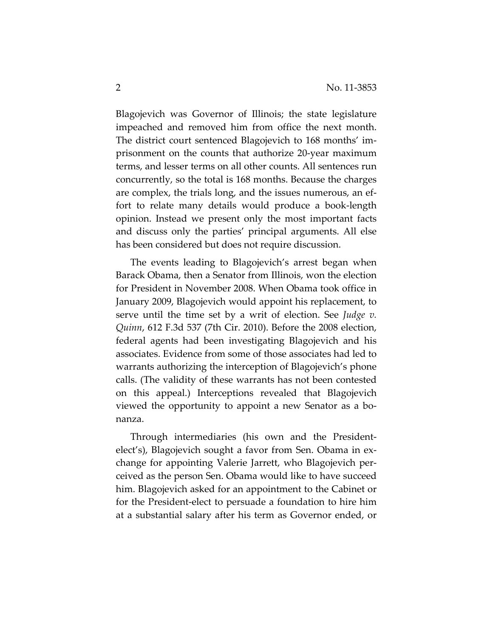Blagojevich was Governor of Illinois; the state legislature impeached and removed him from office the next month. The district court sentenced Blagojevich to 168 months' imprisonment on the counts that authorize 20-year maximum terms, and lesser terms on all other counts. All sentences run concurrently, so the total is 168 months. Because the charges are complex, the trials long, and the issues numerous, an effort to relate many details would produce a book-length opinion. Instead we present only the most important facts and discuss only the parties' principal arguments. All else has been considered but does not require discussion.

The events leading to Blagojevich's arrest began when Barack Obama, then a Senator from Illinois, won the election for President in November 2008. When Obama took office in January 2009, Blagojevich would appoint his replacement, to serve until the time set by a writ of election. See *Judge v. Quinn*, 612 F.3d 537 (7th Cir. 2010). Before the 2008 election, federal agents had been investigating Blagojevich and his associates. Evidence from some of those associates had led to warrants authorizing the interception of Blagojevich's phone calls. (The validity of these warrants has not been contested on this appeal.) Interceptions revealed that Blagojevich viewed the opportunity to appoint a new Senator as a bonanza.

Through intermediaries (his own and the Presidentelect's), Blagojevich sought a favor from Sen. Obama in exchange for appointing Valerie Jarrett, who Blagojevich perceived as the person Sen. Obama would like to have succeed him. Blagojevich asked for an appointment to the Cabinet or for the President-elect to persuade a foundation to hire him at a substantial salary after his term as Governor ended, or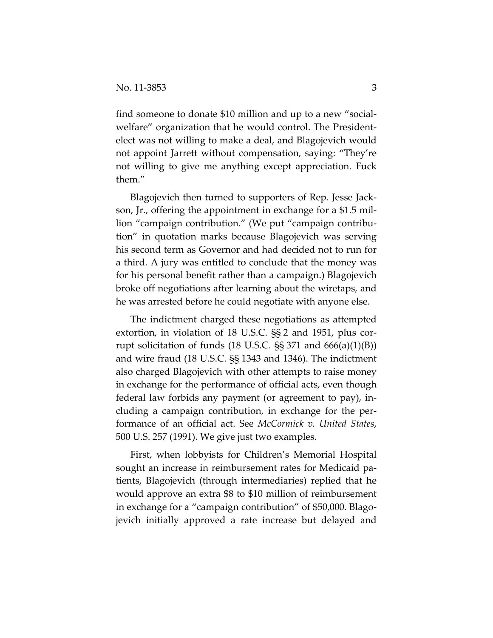find someone to donate \$10 million and up to a new "socialwelfare" organization that he would control. The Presidentelect was not willing to make a deal, and Blagojevich would not appoint Jarrett without compensation, saying: "They're not willing to give me anything except appreciation. Fuck them."

Blagojevich then turned to supporters of Rep. Jesse Jackson, Jr., offering the appointment in exchange for a \$1.5 million "campaign contribution." (We put "campaign contribution" in quotation marks because Blagojevich was serving his second term as Governor and had decided not to run for a third. A jury was entitled to conclude that the money was for his personal benefit rather than a campaign.) Blagojevich broke off negotiations after learning about the wiretaps, and he was arrested before he could negotiate with anyone else.

The indictment charged these negotiations as attempted extortion, in violation of 18 U.S.C. §§ 2 and 1951, plus corrupt solicitation of funds  $(18 \text{ U.S.C.} \text{SS } 371 \text{ and } 666(a)(1)(B))$ and wire fraud (18 U.S.C. §§ 1343 and 1346). The indictment also charged Blagojevich with other attempts to raise money in exchange for the performance of official acts, even though federal law forbids any payment (or agreement to pay), including a campaign contribution, in exchange for the performance of an official act. See *McCormick v. United States*, 500 U.S. 257 (1991). We give just two examples.

First, when lobbyists for Children's Memorial Hospital sought an increase in reimbursement rates for Medicaid patients, Blagojevich (through intermediaries) replied that he would approve an extra \$8 to \$10 million of reimbursement in exchange for a "campaign contribution" of \$50,000. Blagojevich initially approved a rate increase but delayed and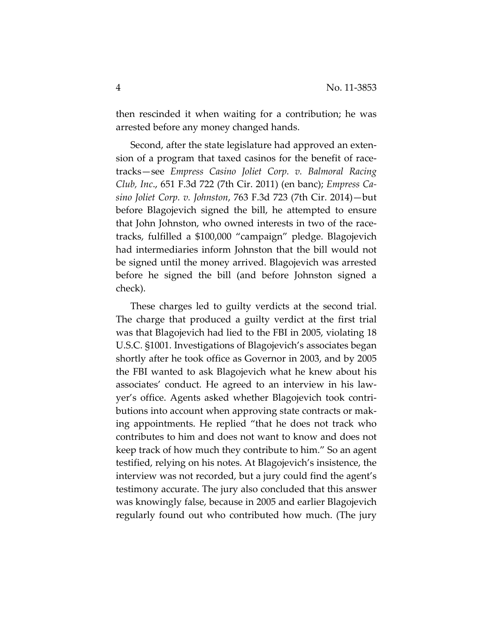then rescinded it when waiting for a contribution; he was arrested before any money changed hands.

Second, after the state legislature had approved an extension of a program that taxed casinos for the benefit of racetracks—see *Empress Casino Joliet Corp. v. Balmoral Racing Club, Inc*., 651 F.3d 722 (7th Cir. 2011) (en banc); *Empress Casino Joliet Corp. v. Johnston*, 763 F.3d 723 (7th Cir. 2014)—but before Blagojevich signed the bill, he attempted to ensure that John Johnston, who owned interests in two of the racetracks, fulfilled a \$100,000 "campaign" pledge. Blagojevich had intermediaries inform Johnston that the bill would not be signed until the money arrived. Blagojevich was arrested before he signed the bill (and before Johnston signed a check).

These charges led to guilty verdicts at the second trial. The charge that produced a guilty verdict at the first trial was that Blagojevich had lied to the FBI in 2005, violating 18 U.S.C. §1001. Investigations of Blagojevich's associates began shortly after he took office as Governor in 2003, and by 2005 the FBI wanted to ask Blagojevich what he knew about his associates' conduct. He agreed to an interview in his lawyer's office. Agents asked whether Blagojevich took contributions into account when approving state contracts or making appointments. He replied "that he does not track who contributes to him and does not want to know and does not keep track of how much they contribute to him." So an agent testified, relying on his notes. At Blagojevich's insistence, the interview was not recorded, but a jury could find the agent's testimony accurate. The jury also concluded that this answer was knowingly false, because in 2005 and earlier Blagojevich regularly found out who contributed how much. (The jury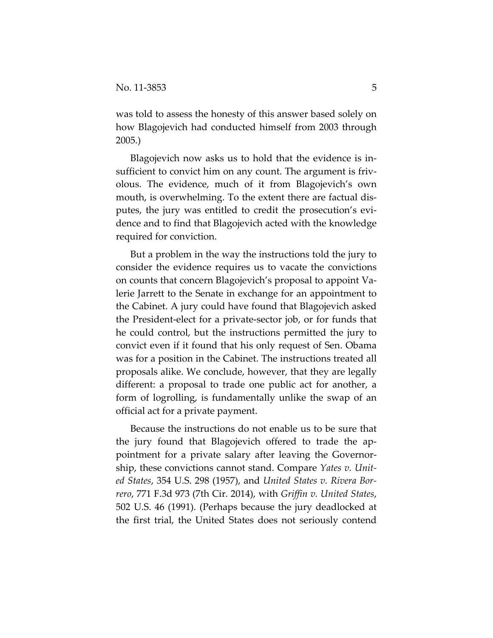was told to assess the honesty of this answer based solely on how Blagojevich had conducted himself from 2003 through 2005.)

Blagojevich now asks us to hold that the evidence is insufficient to convict him on any count. The argument is frivolous. The evidence, much of it from Blagojevich's own mouth, is overwhelming. To the extent there are factual disputes, the jury was entitled to credit the prosecution's evidence and to find that Blagojevich acted with the knowledge required for conviction.

But a problem in the way the instructions told the jury to consider the evidence requires us to vacate the convictions on counts that concern Blagojevich's proposal to appoint Valerie Jarrett to the Senate in exchange for an appointment to the Cabinet. A jury could have found that Blagojevich asked the President-elect for a private-sector job, or for funds that he could control, but the instructions permitted the jury to convict even if it found that his only request of Sen. Obama was for a position in the Cabinet. The instructions treated all proposals alike. We conclude, however, that they are legally different: a proposal to trade one public act for another, a form of logrolling, is fundamentally unlike the swap of an official act for a private payment.

Because the instructions do not enable us to be sure that the jury found that Blagojevich offered to trade the appointment for a private salary after leaving the Governorship, these convictions cannot stand. Compare *Yates v. United States*, 354 U.S. 298 (1957), and *United States v. Rivera Borrero*, 771 F.3d 973 (7th Cir. 2014), with *Griffin v. United States*, 502 U.S. 46 (1991). (Perhaps because the jury deadlocked at the first trial, the United States does not seriously contend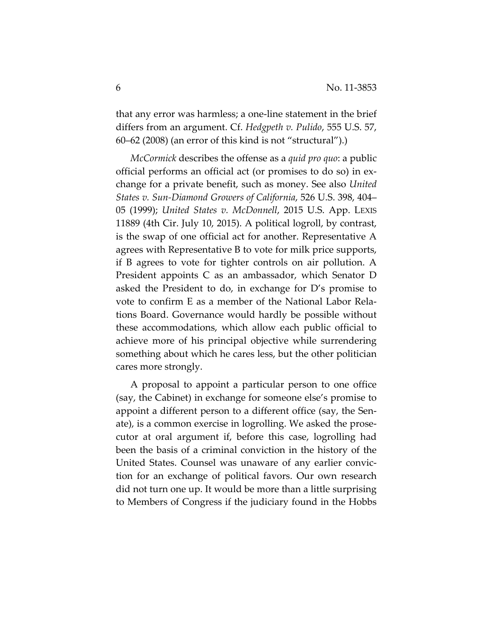that any error was harmless; a one-line statement in the brief differs from an argument. Cf. *Hedgpeth v. Pulido*, 555 U.S. 57, 60–62 (2008) (an error of this kind is not "structural").)

*McCormick* describes the offense as a *quid pro quo*: a public official performs an official act (or promises to do so) in exchange for a private benefit, such as money. See also *United States v. Sun-Diamond Growers of California*, 526 U.S. 398, 404– 05 (1999); *United States v. McDonnell*, 2015 U.S. App. LEXIS 11889 (4th Cir. July 10, 2015). A political logroll, by contrast, is the swap of one official act for another. Representative A agrees with Representative B to vote for milk price supports, if B agrees to vote for tighter controls on air pollution. A President appoints C as an ambassador, which Senator D asked the President to do, in exchange for D's promise to vote to confirm E as a member of the National Labor Relations Board. Governance would hardly be possible without these accommodations, which allow each public official to achieve more of his principal objective while surrendering something about which he cares less, but the other politician cares more strongly.

A proposal to appoint a particular person to one office (say, the Cabinet) in exchange for someone else's promise to appoint a different person to a different office (say, the Senate), is a common exercise in logrolling. We asked the prosecutor at oral argument if, before this case, logrolling had been the basis of a criminal conviction in the history of the United States. Counsel was unaware of any earlier conviction for an exchange of political favors. Our own research did not turn one up. It would be more than a little surprising to Members of Congress if the judiciary found in the Hobbs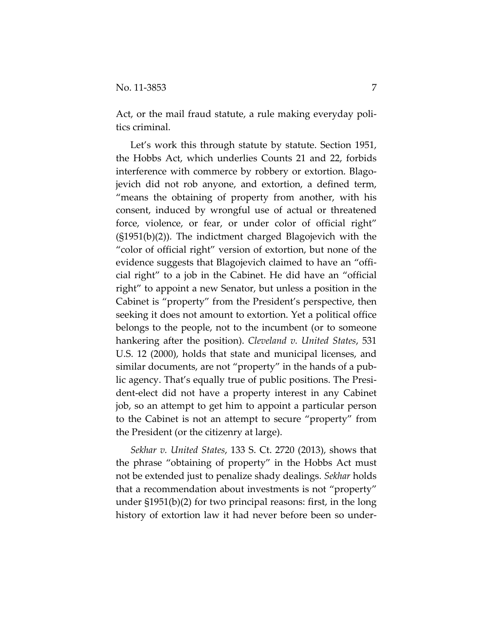Act, or the mail fraud statute, a rule making everyday politics criminal.

Let's work this through statute by statute. Section 1951, the Hobbs Act, which underlies Counts 21 and 22, forbids interference with commerce by robbery or extortion. Blagojevich did not rob anyone, and extortion, a defined term, "means the obtaining of property from another, with his consent, induced by wrongful use of actual or threatened force, violence, or fear, or under color of official right" (§1951(b)(2)). The indictment charged Blagojevich with the "color of official right" version of extortion, but none of the evidence suggests that Blagojevich claimed to have an "official right" to a job in the Cabinet. He did have an "official right" to appoint a new Senator, but unless a position in the Cabinet is "property" from the President's perspective, then seeking it does not amount to extortion. Yet a political office belongs to the people, not to the incumbent (or to someone hankering after the position). *Cleveland v. United States*, 531 U.S. 12 (2000), holds that state and municipal licenses, and similar documents, are not "property" in the hands of a public agency. That's equally true of public positions. The President-elect did not have a property interest in any Cabinet job, so an attempt to get him to appoint a particular person to the Cabinet is not an attempt to secure "property" from the President (or the citizenry at large).

*Sekhar v. United States*, 133 S. Ct. 2720 (2013), shows that the phrase "obtaining of property" in the Hobbs Act must not be extended just to penalize shady dealings. *Sekhar* holds that a recommendation about investments is not "property" under §1951(b)(2) for two principal reasons: first, in the long history of extortion law it had never before been so under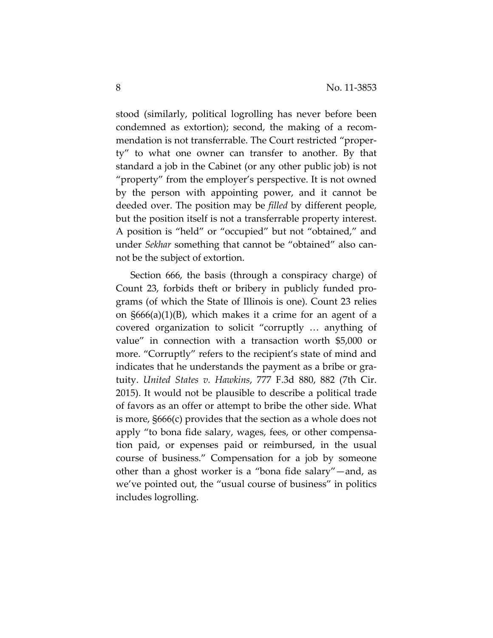stood (similarly, political logrolling has never before been condemned as extortion); second, the making of a recommendation is not transferrable. The Court restricted "property" to what one owner can transfer to another. By that standard a job in the Cabinet (or any other public job) is not "property" from the employer's perspective. It is not owned by the person with appointing power, and it cannot be deeded over. The position may be *filled* by different people, but the position itself is not a transferrable property interest. A position is "held" or "occupied" but not "obtained," and under *Sekhar* something that cannot be "obtained" also cannot be the subject of extortion.

Section 666, the basis (through a conspiracy charge) of Count 23, forbids theft or bribery in publicly funded programs (of which the State of Illinois is one). Count 23 relies on §666(a)(1)(B), which makes it a crime for an agent of a covered organization to solicit "corruptly … anything of value" in connection with a transaction worth \$5,000 or more. "Corruptly" refers to the recipient's state of mind and indicates that he understands the payment as a bribe or gratuity. *United States v. Hawkins*, 777 F.3d 880, 882 (7th Cir. 2015). It would not be plausible to describe a political trade of favors as an offer or attempt to bribe the other side. What is more, §666(c) provides that the section as a whole does not apply "to bona fide salary, wages, fees, or other compensation paid, or expenses paid or reimbursed, in the usual course of business." Compensation for a job by someone other than a ghost worker is a "bona fide salary"—and, as we've pointed out, the "usual course of business" in politics includes logrolling.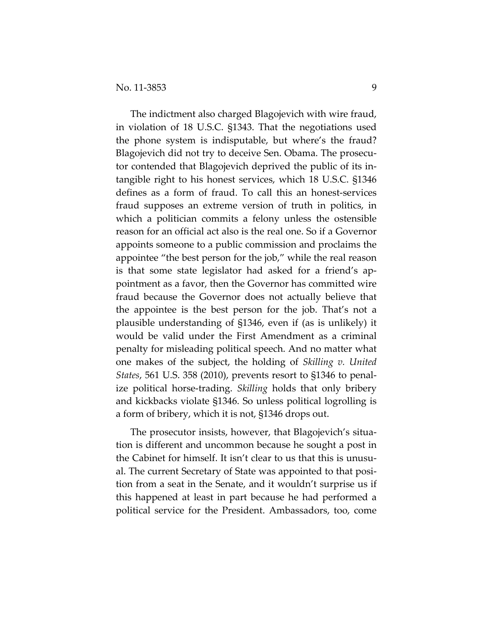The indictment also charged Blagojevich with wire fraud, in violation of 18 U.S.C. §1343. That the negotiations used the phone system is indisputable, but where's the fraud? Blagojevich did not try to deceive Sen. Obama. The prosecutor contended that Blagojevich deprived the public of its intangible right to his honest services, which 18 U.S.C. §1346 defines as a form of fraud. To call this an honest-services fraud supposes an extreme version of truth in politics, in which a politician commits a felony unless the ostensible reason for an official act also is the real one. So if a Governor appoints someone to a public commission and proclaims the appointee "the best person for the job," while the real reason is that some state legislator had asked for a friend's appointment as a favor, then the Governor has committed wire fraud because the Governor does not actually believe that the appointee is the best person for the job. That's not a plausible understanding of §1346, even if (as is unlikely) it would be valid under the First Amendment as a criminal penalty for misleading political speech. And no matter what one makes of the subject, the holding of *Skilling v. United States*, 561 U.S. 358 (2010), prevents resort to §1346 to penalize political horse-trading. *Skilling* holds that only bribery and kickbacks violate §1346. So unless political logrolling is a form of bribery, which it is not, §1346 drops out.

The prosecutor insists, however, that Blagojevich's situation is different and uncommon because he sought a post in the Cabinet for himself. It isn't clear to us that this is unusual. The current Secretary of State was appointed to that position from a seat in the Senate, and it wouldn't surprise us if this happened at least in part because he had performed a political service for the President. Ambassadors, too, come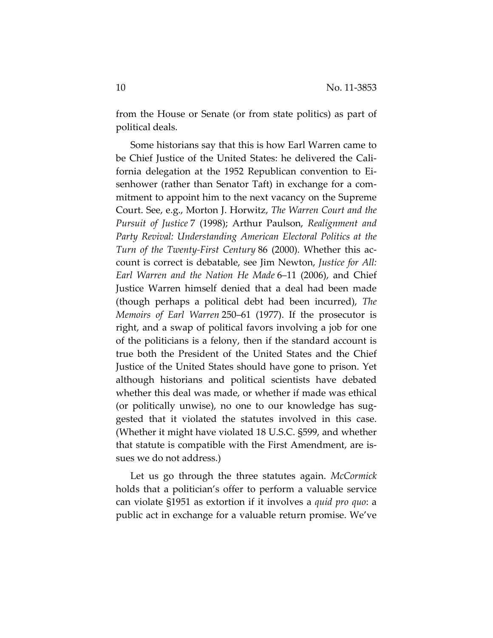from the House or Senate (or from state politics) as part of political deals.

Some historians say that this is how Earl Warren came to be Chief Justice of the United States: he delivered the California delegation at the 1952 Republican convention to Eisenhower (rather than Senator Taft) in exchange for a commitment to appoint him to the next vacancy on the Supreme Court. See, e.g., Morton J. Horwitz, *The Warren Court and the Pursuit of Justice* 7 (1998); Arthur Paulson, *Realignment and Party Revival: Understanding American Electoral Politics at the Turn of the Twenty-First Century* 86 (2000). Whether this account is correct is debatable, see Jim Newton, *Justice for All: Earl Warren and the Nation He Made* 6–11 (2006), and Chief Justice Warren himself denied that a deal had been made (though perhaps a political debt had been incurred), *The Memoirs of Earl Warren* 250–61 (1977). If the prosecutor is right, and a swap of political favors involving a job for one of the politicians is a felony, then if the standard account is true both the President of the United States and the Chief Justice of the United States should have gone to prison. Yet although historians and political scientists have debated whether this deal was made, or whether if made was ethical (or politically unwise), no one to our knowledge has suggested that it violated the statutes involved in this case. (Whether it might have violated 18 U.S.C. §599, and whether that statute is compatible with the First Amendment, are issues we do not address.)

Let us go through the three statutes again. *McCormick* holds that a politician's offer to perform a valuable service can violate §1951 as extortion if it involves a *quid pro quo*: a public act in exchange for a valuable return promise. We've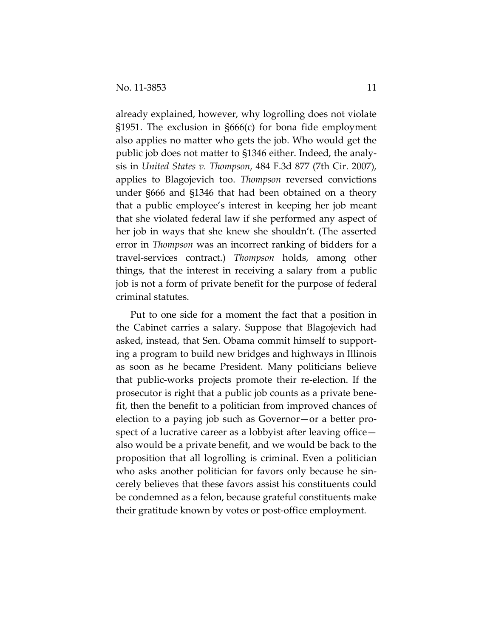already explained, however, why logrolling does not violate §1951. The exclusion in §666(c) for bona fide employment also applies no matter who gets the job. Who would get the public job does not matter to §1346 either. Indeed, the analysis in *United States v. Thompson*, 484 F.3d 877 (7th Cir. 2007), applies to Blagojevich too. *Thompson* reversed convictions under §666 and §1346 that had been obtained on a theory that a public employee's interest in keeping her job meant that she violated federal law if she performed any aspect of her job in ways that she knew she shouldn't. (The asserted error in *Thompson* was an incorrect ranking of bidders for a travel-services contract.) *Thompson* holds, among other things, that the interest in receiving a salary from a public job is not a form of private benefit for the purpose of federal criminal statutes.

Put to one side for a moment the fact that a position in the Cabinet carries a salary. Suppose that Blagojevich had asked, instead, that Sen. Obama commit himself to supporting a program to build new bridges and highways in Illinois as soon as he became President. Many politicians believe that public-works projects promote their re-election. If the prosecutor is right that a public job counts as a private benefit, then the benefit to a politician from improved chances of election to a paying job such as Governor—or a better prospect of a lucrative career as a lobbyist after leaving office also would be a private benefit, and we would be back to the proposition that all logrolling is criminal. Even a politician who asks another politician for favors only because he sincerely believes that these favors assist his constituents could be condemned as a felon, because grateful constituents make their gratitude known by votes or post-office employment.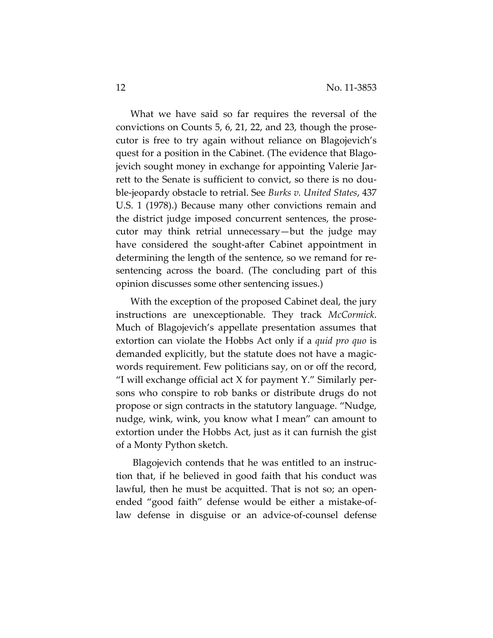What we have said so far requires the reversal of the convictions on Counts 5, 6, 21, 22, and 23, though the prosecutor is free to try again without reliance on Blagojevich's quest for a position in the Cabinet. (The evidence that Blagojevich sought money in exchange for appointing Valerie Jarrett to the Senate is sufficient to convict, so there is no double-jeopardy obstacle to retrial. See *Burks v. United States*, 437 U.S. 1 (1978).) Because many other convictions remain and the district judge imposed concurrent sentences, the prosecutor may think retrial unnecessary—but the judge may have considered the sought-after Cabinet appointment in determining the length of the sentence, so we remand for resentencing across the board. (The concluding part of this opinion discusses some other sentencing issues.)

With the exception of the proposed Cabinet deal, the jury instructions are unexceptionable. They track *McCormick*. Much of Blagojevich's appellate presentation assumes that extortion can violate the Hobbs Act only if a *quid pro quo* is demanded explicitly, but the statute does not have a magicwords requirement. Few politicians say, on or off the record, "I will exchange official act  $X$  for payment  $Y$ ." Similarly persons who conspire to rob banks or distribute drugs do not propose or sign contracts in the statutory language. "Nudge, nudge, wink, wink, you know what I mean" can amount to extortion under the Hobbs Act, just as it can furnish the gist of a Monty Python sketch.

Blagojevich contends that he was entitled to an instruction that, if he believed in good faith that his conduct was lawful, then he must be acquitted. That is not so; an openended "good faith" defense would be either a mistake-oflaw defense in disguise or an advice-of-counsel defense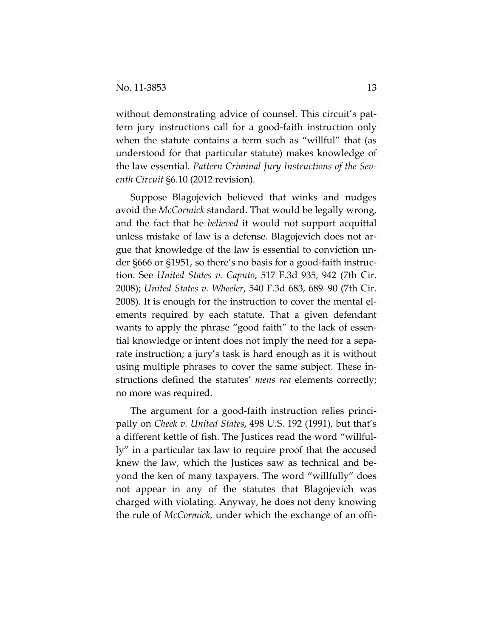without demonstrating advice of counsel. This circuit's pattern jury instructions call for a good-faith instruction only when the statute contains a term such as "willful" that (as understood for that particular statute) makes knowledge of the law essential. *Pattern Criminal Jury Instructions of the Seventh Circuit* §6.10 (2012 revision).

Suppose Blagojevich believed that winks and nudges avoid the *McCormick* standard. That would be legally wrong, and the fact that he *believed* it would not support acquittal unless mistake of law is a defense. Blagojevich does not argue that knowledge of the law is essential to conviction under §666 or §1951, so there's no basis for a good-faith instruction. See *United States v. Caputo*, 517 F.3d 935, 942 (7th Cir. 2008); *United States v. Wheeler*, 540 F.3d 683, 689–90 (7th Cir. 2008). It is enough for the instruction to cover the mental elements required by each statute. That a given defendant wants to apply the phrase "good faith" to the lack of essential knowledge or intent does not imply the need for a separate instruction; a jury's task is hard enough as it is without using multiple phrases to cover the same subject. These instructions defined the statutes' *mens rea* elements correctly; no more was required.

The argument for a good-faith instruction relies principally on *Cheek v. United States*, 498 U.S. 192 (1991), but that's a different kettle of fish. The Justices read the word "willfully" in a particular tax law to require proof that the accused knew the law, which the Justices saw as technical and beyond the ken of many taxpayers. The word "willfully" does not appear in any of the statutes that Blagojevich was charged with violating. Anyway, he does not deny knowing the rule of *McCormick*, under which the exchange of an offi-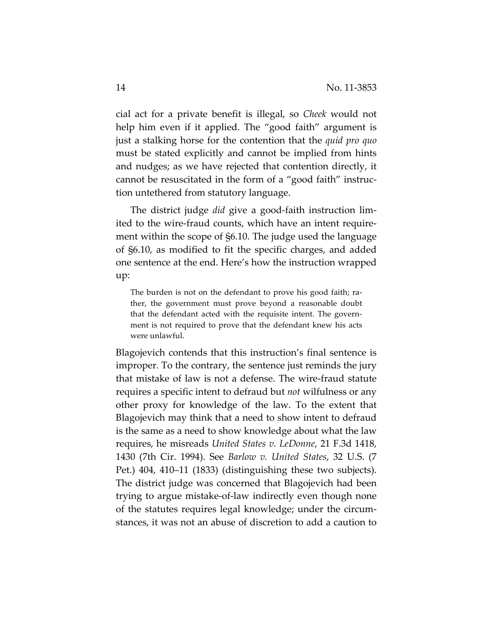cial act for a private benefit is illegal, so *Cheek* would not help him even if it applied. The "good faith" argument is just a stalking horse for the contention that the *quid pro quo* must be stated explicitly and cannot be implied from hints and nudges; as we have rejected that contention directly, it cannot be resuscitated in the form of a "good faith" instruction untethered from statutory language.

The district judge *did* give a good-faith instruction limited to the wire-fraud counts, which have an intent requirement within the scope of §6.10. The judge used the language of §6.10, as modified to fit the specific charges, and added one sentence at the end. Here's how the instruction wrapped up:

The burden is not on the defendant to prove his good faith; rather, the government must prove beyond a reasonable doubt that the defendant acted with the requisite intent. The government is not required to prove that the defendant knew his acts were unlawful.

Blagojevich contends that this instruction's final sentence is improper. To the contrary, the sentence just reminds the jury that mistake of law is not a defense. The wire-fraud statute requires a specific intent to defraud but *not* wilfulness or any other proxy for knowledge of the law. To the extent that Blagojevich may think that a need to show intent to defraud is the same as a need to show knowledge about what the law requires, he misreads *United States v. LeDonne*, 21 F.3d 1418, 1430 (7th Cir. 1994). See *Barlow v. United States*, 32 U.S. (7 Pet.) 404, 410–11 (1833) (distinguishing these two subjects). The district judge was concerned that Blagojevich had been trying to argue mistake-of-law indirectly even though none of the statutes requires legal knowledge; under the circumstances, it was not an abuse of discretion to add a caution to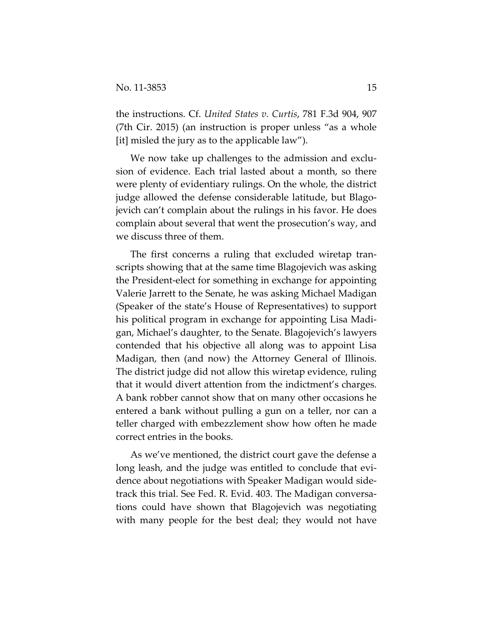the instructions. Cf. *United States v. Curtis*, 781 F.3d 904, 907 (7th Cir. 2015) (an instruction is proper unless "as a whole [it] misled the jury as to the applicable law").

We now take up challenges to the admission and exclusion of evidence. Each trial lasted about a month, so there were plenty of evidentiary rulings. On the whole, the district judge allowed the defense considerable latitude, but Blagojevich can't complain about the rulings in his favor. He does complain about several that went the prosecution's way, and we discuss three of them.

The first concerns a ruling that excluded wiretap transcripts showing that at the same time Blagojevich was asking the President-elect for something in exchange for appointing Valerie Jarrett to the Senate, he was asking Michael Madigan (Speaker of the state's House of Representatives) to support his political program in exchange for appointing Lisa Madigan, Michael's daughter, to the Senate. Blagojevich's lawyers contended that his objective all along was to appoint Lisa Madigan, then (and now) the Attorney General of Illinois. The district judge did not allow this wiretap evidence, ruling that it would divert attention from the indictment's charges. A bank robber cannot show that on many other occasions he entered a bank without pulling a gun on a teller, nor can a teller charged with embezzlement show how often he made correct entries in the books.

As we've mentioned, the district court gave the defense a long leash, and the judge was entitled to conclude that evidence about negotiations with Speaker Madigan would sidetrack this trial. See Fed. R. Evid. 403. The Madigan conversations could have shown that Blagojevich was negotiating with many people for the best deal; they would not have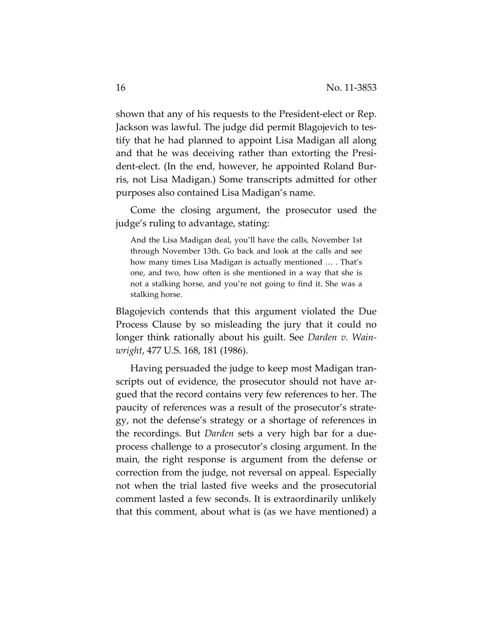shown that any of his requests to the President-elect or Rep. Jackson was lawful. The judge did permit Blagojevich to testify that he had planned to appoint Lisa Madigan all along and that he was deceiving rather than extorting the President-elect. (In the end, however, he appointed Roland Burris, not Lisa Madigan.) Some transcripts admitted for other purposes also contained Lisa Madigan's name.

Come the closing argument, the prosecutor used the judge's ruling to advantage, stating:

And the Lisa Madigan deal, you'll have the calls, November 1st through November 13th. Go back and look at the calls and see how many times Lisa Madigan is actually mentioned … . That's one, and two, how often is she mentioned in a way that she is not a stalking horse, and you're not going to find it. She was a stalking horse.

Blagojevich contends that this argument violated the Due Process Clause by so misleading the jury that it could no longer think rationally about his guilt. See *Darden v. Wainwright*, 477 U.S. 168, 181 (1986).

Having persuaded the judge to keep most Madigan transcripts out of evidence, the prosecutor should not have argued that the record contains very few references to her. The paucity of references was a result of the prosecutor's strategy, not the defense's strategy or a shortage of references in the recordings. But *Darden* sets a very high bar for a dueprocess challenge to a prosecutor's closing argument. In the main, the right response is argument from the defense or correction from the judge, not reversal on appeal. Especially not when the trial lasted five weeks and the prosecutorial comment lasted a few seconds. It is extraordinarily unlikely that this comment, about what is (as we have mentioned) a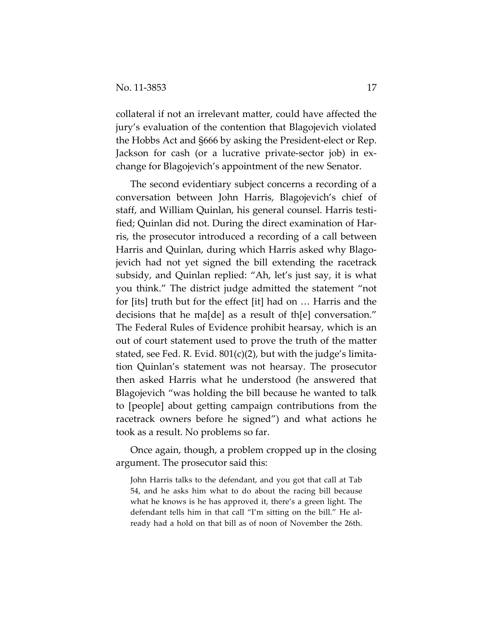collateral if not an irrelevant matter, could have affected the jury's evaluation of the contention that Blagojevich violated the Hobbs Act and §666 by asking the President-elect or Rep. Jackson for cash (or a lucrative private-sector job) in exchange for Blagojevich's appointment of the new Senator.

The second evidentiary subject concerns a recording of a conversation between John Harris, Blagojevich's chief of staff, and William Quinlan, his general counsel. Harris testified; Quinlan did not. During the direct examination of Harris, the prosecutor introduced a recording of a call between Harris and Quinlan, during which Harris asked why Blagojevich had not yet signed the bill extending the racetrack subsidy, and Quinlan replied: "Ah, let's just say, it is what you think." The district judge admitted the statement "not for [its] truth but for the effect [it] had on … Harris and the decisions that he ma[de] as a result of th[e] conversation." The Federal Rules of Evidence prohibit hearsay, which is an out of court statement used to prove the truth of the matter stated, see Fed. R. Evid. 801(c)(2), but with the judge's limitation Quinlan's statement was not hearsay. The prosecutor then asked Harris what he understood (he answered that Blagojevich "was holding the bill because he wanted to talk to [people] about getting campaign contributions from the racetrack owners before he signed") and what actions he took as a result. No problems so far.

Once again, though, a problem cropped up in the closing argument. The prosecutor said this:

John Harris talks to the defendant, and you got that call at Tab 54, and he asks him what to do about the racing bill because what he knows is he has approved it, there's a green light. The defendant tells him in that call "I'm sitting on the bill." He already had a hold on that bill as of noon of November the 26th.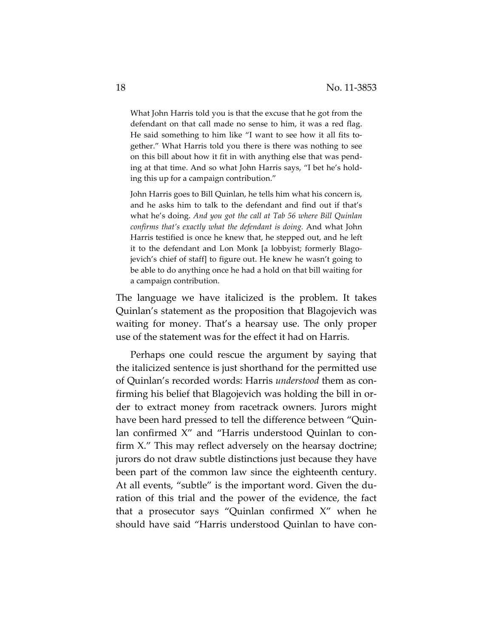What John Harris told you is that the excuse that he got from the defendant on that call made no sense to him, it was a red flag. He said something to him like "I want to see how it all fits together." What Harris told you there is there was nothing to see on this bill about how it fit in with anything else that was pending at that time. And so what John Harris says, "I bet he's holding this up for a campaign contribution."

John Harris goes to Bill Quinlan, he tells him what his concern is, and he asks him to talk to the defendant and find out if that's what he's doing. *And you got the call at Tab 56 where Bill Quinlan confirms that's exactly what the defendant is doing.* And what John Harris testified is once he knew that, he stepped out, and he left it to the defendant and Lon Monk [a lobbyist; formerly Blagojevich's chief of staff] to figure out. He knew he wasn't going to be able to do anything once he had a hold on that bill waiting for a campaign contribution.

The language we have italicized is the problem. It takes Quinlan's statement as the proposition that Blagojevich was waiting for money. That's a hearsay use. The only proper use of the statement was for the effect it had on Harris.

Perhaps one could rescue the argument by saying that the italicized sentence is just shorthand for the permitted use of Quinlan's recorded words: Harris *understood* them as confirming his belief that Blagojevich was holding the bill in order to extract money from racetrack owners. Jurors might have been hard pressed to tell the difference between "Quinlan confirmed X" and "Harris understood Quinlan to confirm X." This may reflect adversely on the hearsay doctrine; jurors do not draw subtle distinctions just because they have been part of the common law since the eighteenth century. At all events, "subtle" is the important word. Given the duration of this trial and the power of the evidence, the fact that a prosecutor says "Quinlan confirmed X" when he should have said "Harris understood Quinlan to have con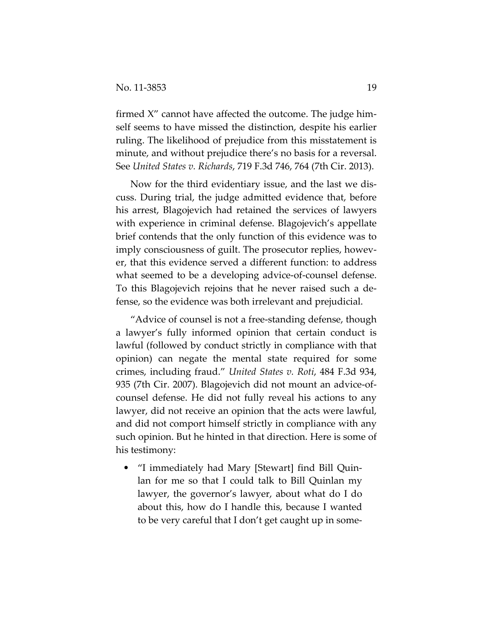firmed X" cannot have affected the outcome. The judge himself seems to have missed the distinction, despite his earlier ruling. The likelihood of prejudice from this misstatement is minute, and without prejudice there's no basis for a reversal. See *United States v. Richards*, 719 F.3d 746, 764 (7th Cir. 2013).

Now for the third evidentiary issue, and the last we discuss. During trial, the judge admitted evidence that, before his arrest, Blagojevich had retained the services of lawyers with experience in criminal defense. Blagojevich's appellate brief contends that the only function of this evidence was to imply consciousness of guilt. The prosecutor replies, however, that this evidence served a different function: to address what seemed to be a developing advice-of-counsel defense. To this Blagojevich rejoins that he never raised such a defense, so the evidence was both irrelevant and prejudicial.

"Advice of counsel is not a free-standing defense, though a lawyer's fully informed opinion that certain conduct is lawful (followed by conduct strictly in compliance with that opinion) can negate the mental state required for some crimes, including fraud." *United States v. Roti*, 484 F.3d 934, 935 (7th Cir. 2007). Blagojevich did not mount an advice-ofcounsel defense. He did not fully reveal his actions to any lawyer, did not receive an opinion that the acts were lawful, and did not comport himself strictly in compliance with any such opinion. But he hinted in that direction. Here is some of his testimony:

• "I immediately had Mary [Stewart] find Bill Quinlan for me so that I could talk to Bill Quinlan my lawyer, the governor's lawyer, about what do I do about this, how do I handle this, because I wanted to be very careful that I don't get caught up in some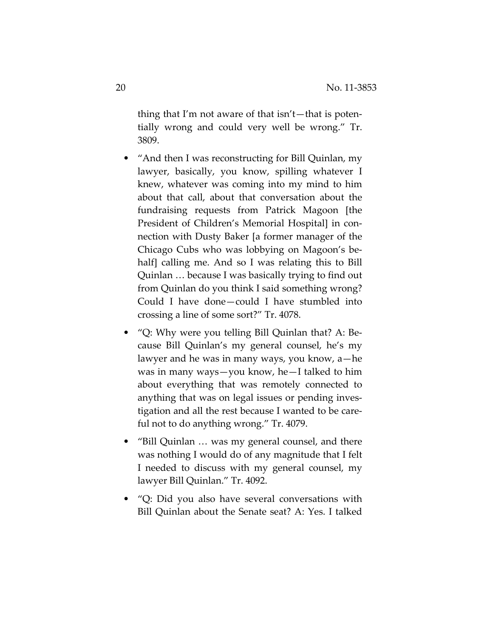thing that I'm not aware of that isn't—that is potentially wrong and could very well be wrong." Tr. 3809.

- "And then I was reconstructing for Bill Quinlan, my lawyer, basically, you know, spilling whatever I knew, whatever was coming into my mind to him about that call, about that conversation about the fundraising requests from Patrick Magoon [the President of Children's Memorial Hospital] in connection with Dusty Baker [a former manager of the Chicago Cubs who was lobbying on Magoon's behalf] calling me. And so I was relating this to Bill Quinlan … because I was basically trying to find out from Quinlan do you think I said something wrong? Could I have done—could I have stumbled into crossing a line of some sort?" Tr. 4078.
- "Q: Why were you telling Bill Quinlan that? A: Because Bill Quinlan's my general counsel, he's my lawyer and he was in many ways, you know, a—he was in many ways—you know, he—I talked to him about everything that was remotely connected to anything that was on legal issues or pending investigation and all the rest because I wanted to be careful not to do anything wrong." Tr. 4079.
- "Bill Quinlan … was my general counsel, and there was nothing I would do of any magnitude that I felt I needed to discuss with my general counsel, my lawyer Bill Quinlan." Tr. 4092.
- "Q: Did you also have several conversations with Bill Quinlan about the Senate seat? A: Yes. I talked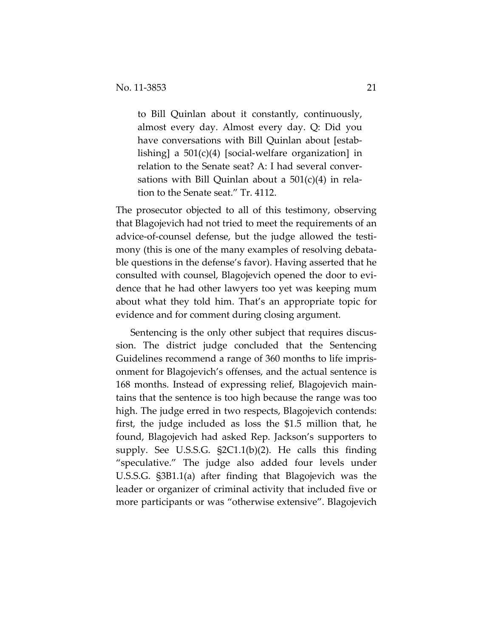to Bill Quinlan about it constantly, continuously, almost every day. Almost every day. Q: Did you have conversations with Bill Quinlan about [establishing] a  $501(c)(4)$  [social-welfare organization] in relation to the Senate seat? A: I had several conversations with Bill Quinlan about a  $501(c)(4)$  in relation to the Senate seat." Tr. 4112.

The prosecutor objected to all of this testimony, observing that Blagojevich had not tried to meet the requirements of an advice-of-counsel defense, but the judge allowed the testimony (this is one of the many examples of resolving debatable questions in the defense's favor). Having asserted that he consulted with counsel, Blagojevich opened the door to evidence that he had other lawyers too yet was keeping mum about what they told him. That's an appropriate topic for evidence and for comment during closing argument.

Sentencing is the only other subject that requires discussion. The district judge concluded that the Sentencing Guidelines recommend a range of 360 months to life imprisonment for Blagojevich's offenses, and the actual sentence is 168 months. Instead of expressing relief, Blagojevich maintains that the sentence is too high because the range was too high. The judge erred in two respects, Blagojevich contends: first, the judge included as loss the \$1.5 million that, he found, Blagojevich had asked Rep. Jackson's supporters to supply. See U.S.S.G. §2C1.1(b)(2). He calls this finding "speculative." The judge also added four levels under U.S.S.G. §3B1.1(a) after finding that Blagojevich was the leader or organizer of criminal activity that included five or more participants or was "otherwise extensive". Blagojevich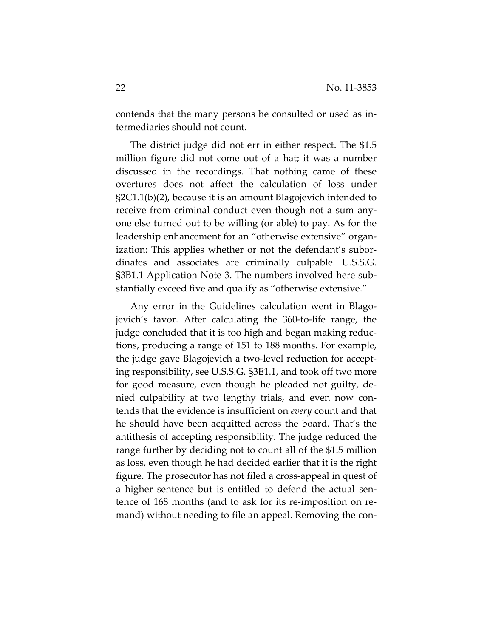contends that the many persons he consulted or used as intermediaries should not count.

The district judge did not err in either respect. The \$1.5 million figure did not come out of a hat; it was a number discussed in the recordings. That nothing came of these overtures does not affect the calculation of loss under §2C1.1(b)(2), because it is an amount Blagojevich intended to receive from criminal conduct even though not a sum anyone else turned out to be willing (or able) to pay. As for the leadership enhancement for an "otherwise extensive" organization: This applies whether or not the defendant's subordinates and associates are criminally culpable. U.S.S.G. §3B1.1 Application Note 3. The numbers involved here substantially exceed five and qualify as "otherwise extensive."

Any error in the Guidelines calculation went in Blagojevich's favor. After calculating the 360-to-life range, the judge concluded that it is too high and began making reductions, producing a range of 151 to 188 months. For example, the judge gave Blagojevich a two-level reduction for accepting responsibility, see U.S.S.G. §3E1.1, and took off two more for good measure, even though he pleaded not guilty, denied culpability at two lengthy trials, and even now contends that the evidence is insufficient on *every* count and that he should have been acquitted across the board. That's the antithesis of accepting responsibility. The judge reduced the range further by deciding not to count all of the \$1.5 million as loss, even though he had decided earlier that it is the right figure. The prosecutor has not filed a cross-appeal in quest of a higher sentence but is entitled to defend the actual sentence of 168 months (and to ask for its re-imposition on remand) without needing to file an appeal. Removing the con